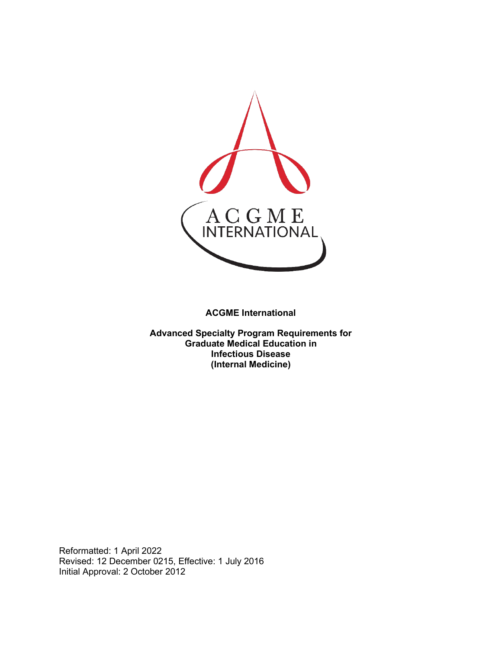

**ACGME International** 

**Advanced Specialty Program Requirements for Graduate Medical Education in Infectious Disease (Internal Medicine)**

Reformatted: 1 April 2022 Revised: 12 December 0215, Effective: 1 July 2016 Initial Approval: 2 October 2012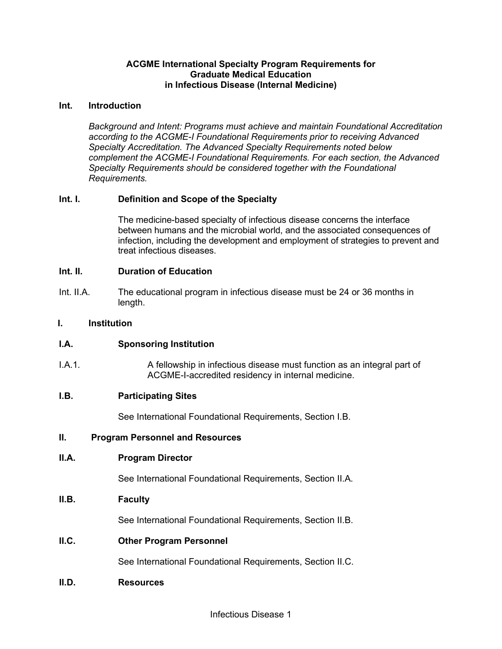## **ACGME International Specialty Program Requirements for Graduate Medical Education in Infectious Disease (Internal Medicine)**

## **Int. Introduction**

*Background and Intent: Programs must achieve and maintain Foundational Accreditation according to the ACGME-I Foundational Requirements prior to receiving Advanced Specialty Accreditation. The Advanced Specialty Requirements noted below complement the ACGME-I Foundational Requirements. For each section, the Advanced Specialty Requirements should be considered together with the Foundational Requirements.*

# **Int. I. Definition and Scope of the Specialty**

The medicine-based specialty of infectious disease concerns the interface between humans and the microbial world, and the associated consequences of infection, including the development and employment of strategies to prevent and treat infectious diseases.

## **Int. II. Duration of Education**

Int. II.A. The educational program in infectious disease must be 24 or 36 months in length.

## **I. Institution**

# **I.A. Sponsoring Institution**

I.A.1. A fellowship in infectious disease must function as an integral part of ACGME-I-accredited residency in internal medicine.

#### **I.B. Participating Sites**

See International Foundational Requirements, Section I.B.

#### **II. Program Personnel and Resources**

#### **II.A. Program Director**

See International Foundational Requirements, Section II.A.

# **II.B. Faculty**

See International Foundational Requirements, Section II.B.

# **II.C. Other Program Personnel**

See International Foundational Requirements, Section II.C.

#### **II.D. Resources**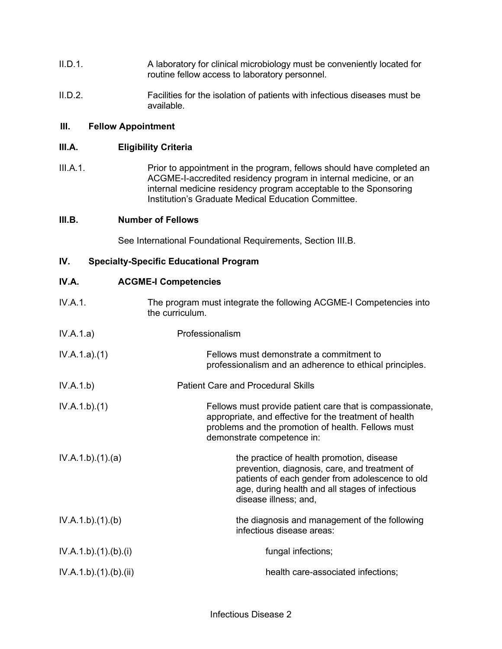- II.D.1. A laboratory for clinical microbiology must be conveniently located for routine fellow access to laboratory personnel.
- II.D.2. Facilities for the isolation of patients with infectious diseases must be available.

# **III. Fellow Appointment**

## **III.A. Eligibility Criteria**

III.A.1. Prior to appointment in the program, fellows should have completed an ACGME-I-accredited residency program in internal medicine, or an internal medicine residency program acceptable to the Sponsoring Institution's Graduate Medical Education Committee.

## **III.B. Number of Fellows**

See International Foundational Requirements, Section III.B.

## **IV. Specialty-Specific Educational Program**

| IV.A.               | <b>ACGME-I Competencies</b>                                                                                                                                                                                               |
|---------------------|---------------------------------------------------------------------------------------------------------------------------------------------------------------------------------------------------------------------------|
| IV.A.1.             | The program must integrate the following ACGME-I Competencies into<br>the curriculum.                                                                                                                                     |
| IV.A.1.a)           | Professionalism                                                                                                                                                                                                           |
| IV.A.1.a)(1)        | Fellows must demonstrate a commitment to<br>professionalism and an adherence to ethical principles.                                                                                                                       |
| IV.A.1.b)           | <b>Patient Care and Procedural Skills</b>                                                                                                                                                                                 |
| IV.A.1.b)(1)        | Fellows must provide patient care that is compassionate,<br>appropriate, and effective for the treatment of health<br>problems and the promotion of health. Fellows must<br>demonstrate competence in:                    |
| IV.A.1.b)(1)(a)     | the practice of health promotion, disease<br>prevention, diagnosis, care, and treatment of<br>patients of each gender from adolescence to old<br>age, during health and all stages of infectious<br>disease illness; and, |
| IV.A.1.b)(1)(b)     | the diagnosis and management of the following<br>infectious disease areas:                                                                                                                                                |
| IV.A.1.b)(1)(b)(i)  | fungal infections;                                                                                                                                                                                                        |
| IV.A.1.b)(1)(b)(ii) | health care-associated infections;                                                                                                                                                                                        |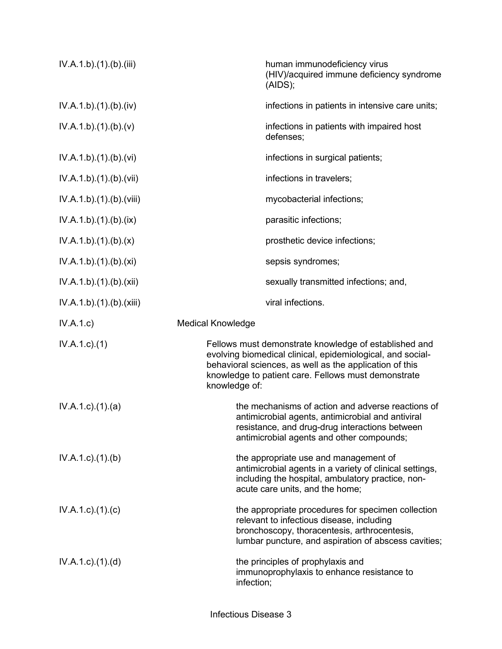| IV.A.1.b)(1)(b)(iii)      | human immunodeficiency virus<br>(HIV)/acquired immune deficiency syndrome<br>(AIDS);                                                                                                                                                                   |
|---------------------------|--------------------------------------------------------------------------------------------------------------------------------------------------------------------------------------------------------------------------------------------------------|
| IV.A.1.b)(1)(b)(iv)       | infections in patients in intensive care units;                                                                                                                                                                                                        |
| IV.A.1.b)(1)(b)(v)        | infections in patients with impaired host<br>defenses;                                                                                                                                                                                                 |
| IV.A.1.b) (1) (b) (vi)    | infections in surgical patients;                                                                                                                                                                                                                       |
| IV.A.1.b).(1).(b).(vii)   | infections in travelers;                                                                                                                                                                                                                               |
| IV.A.1.b).(1).(b).(viii)  | mycobacterial infections;                                                                                                                                                                                                                              |
| IV.A.1.b)(1)(b)(ix)       | parasitic infections;                                                                                                                                                                                                                                  |
| IV.A.1.b)(1)(b)(x)        | prosthetic device infections;                                                                                                                                                                                                                          |
| IV.A.1.b)(1)(b)(xi)       | sepsis syndromes;                                                                                                                                                                                                                                      |
| IV.A.1.b)(1)(b)(xii)      | sexually transmitted infections; and,                                                                                                                                                                                                                  |
| IV.A.1.b)(1)(b)(xiii)     | viral infections.                                                                                                                                                                                                                                      |
| IV.A.1.c)                 | <b>Medical Knowledge</b>                                                                                                                                                                                                                               |
| $IV.A.1.c.$ (1)           | Fellows must demonstrate knowledge of established and<br>evolving biomedical clinical, epidemiological, and social-<br>behavioral sciences, as well as the application of this<br>knowledge to patient care. Fellows must demonstrate<br>knowledge of: |
| $IV.A.1.c$ . $(1).$ $(a)$ | the mechanisms of action and adverse reactions of<br>antimicrobial agents, antimicrobial and antiviral<br>resistance, and drug-drug interactions between<br>antimicrobial agents and other compounds;                                                  |
| $IV.A.1.c$ . $(1).$ (b)   | the appropriate use and management of<br>antimicrobial agents in a variety of clinical settings,<br>including the hospital, ambulatory practice, non-<br>acute care units, and the home;                                                               |
| $IV.A.1.c$ ). $(1).c)$    | the appropriate procedures for specimen collection<br>relevant to infectious disease, including<br>bronchoscopy, thoracentesis, arthrocentesis,<br>lumbar puncture, and aspiration of abscess cavities;                                                |
| $IV.A.1.c$ . $(1).$ $(d)$ | the principles of prophylaxis and<br>immunoprophylaxis to enhance resistance to<br>infection;                                                                                                                                                          |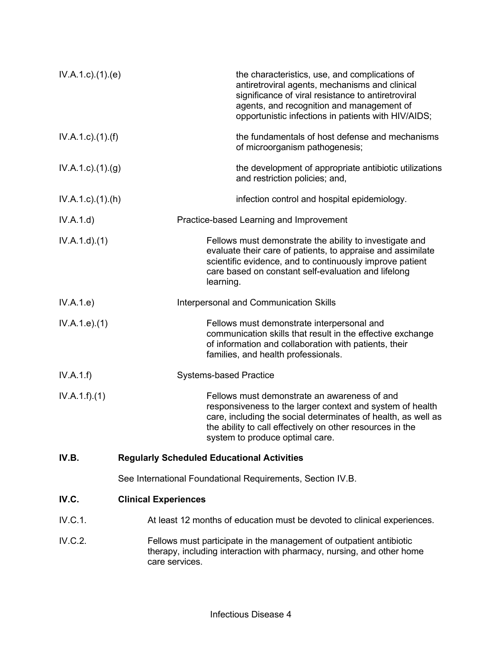| $IV.A.1.c$ . $(1).$ $(e)$   | the characteristics, use, and complications of<br>antiretroviral agents, mechanisms and clinical<br>significance of viral resistance to antiretroviral<br>agents, and recognition and management of<br>opportunistic infections in patients with HIV/AIDS;                 |
|-----------------------------|----------------------------------------------------------------------------------------------------------------------------------------------------------------------------------------------------------------------------------------------------------------------------|
| $IV.A.1.c$ ). $(1)$ . $(f)$ | the fundamentals of host defense and mechanisms<br>of microorganism pathogenesis;                                                                                                                                                                                          |
| $IV.A.1.c$ . $(1).(g)$      | the development of appropriate antibiotic utilizations<br>and restriction policies; and,                                                                                                                                                                                   |
| $IV.A.1.c$ . $(1).(h)$      | infection control and hospital epidemiology.                                                                                                                                                                                                                               |
| IV.A.1.d)                   | Practice-based Learning and Improvement                                                                                                                                                                                                                                    |
| IV.A.1.d.(1)                | Fellows must demonstrate the ability to investigate and<br>evaluate their care of patients, to appraise and assimilate<br>scientific evidence, and to continuously improve patient<br>care based on constant self-evaluation and lifelong<br>learning.                     |
| IV.A.1.e)                   | Interpersonal and Communication Skills                                                                                                                                                                                                                                     |
| IV.A.1.e. (1)               | Fellows must demonstrate interpersonal and<br>communication skills that result in the effective exchange<br>of information and collaboration with patients, their<br>families, and health professionals.                                                                   |
| IV.A.1.f)                   | <b>Systems-based Practice</b>                                                                                                                                                                                                                                              |
| IV.A.1.f)(1)                | Fellows must demonstrate an awareness of and<br>responsiveness to the larger context and system of health<br>care, including the social determinates of health, as well as<br>the ability to call effectively on other resources in the<br>system to produce optimal care. |
| IV.B.                       | <b>Regularly Scheduled Educational Activities</b>                                                                                                                                                                                                                          |
|                             | See International Foundational Requirements, Section IV.B.                                                                                                                                                                                                                 |
| IV.C.                       | <b>Clinical Experiences</b>                                                                                                                                                                                                                                                |
| IV.C.1.                     | At least 12 months of education must be devoted to clinical experiences.                                                                                                                                                                                                   |
| IV.C.2.                     | Fellows must participate in the management of outpatient antibiotic<br>therapy, including interaction with pharmacy, nursing, and other home<br>care services.                                                                                                             |